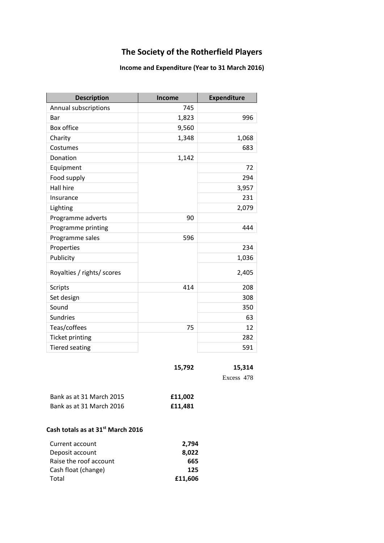### **The Society of the Rotherfield Players**

#### **Income and Expenditure (Year to 31 March 2016)**

| <b>Description</b>         | Income | <b>Expenditure</b> |
|----------------------------|--------|--------------------|
| Annual subscriptions       | 745    |                    |
| Bar                        | 1,823  | 996                |
| Box office                 | 9,560  |                    |
| Charity                    | 1,348  | 1,068              |
| Costumes                   |        | 683                |
| Donation                   | 1,142  |                    |
| Equipment                  |        | 72                 |
| Food supply                |        | 294                |
| Hall hire                  |        | 3,957              |
| Insurance                  |        | 231                |
| Lighting                   |        | 2,079              |
| Programme adverts          | 90     |                    |
| Programme printing         |        | 444                |
| Programme sales            | 596    |                    |
| Properties                 |        | 234                |
| Publicity                  |        | 1,036              |
| Royalties / rights/ scores |        | 2,405              |
| <b>Scripts</b>             | 414    | 208                |
| Set design                 |        | 308                |
| Sound                      |        | 350                |
| <b>Sundries</b>            |        | 63                 |
| Teas/coffees               | 75     | 12                 |
| <b>Ticket printing</b>     |        | 282                |
| <b>Tiered seating</b>      |        | 591                |

| 15,792 | 15,314     |
|--------|------------|
|        | Excess 478 |

| Bank as at 31 March 2015 | £11,002 |
|--------------------------|---------|
| Bank as at 31 March 2016 | £11,481 |

#### **Cash totals as at 31st March 2016**

| Current account        | 2,794   |
|------------------------|---------|
| Deposit account        | 8.022   |
| Raise the roof account | 665     |
| Cash float (change)    | 125     |
| Total                  | £11.606 |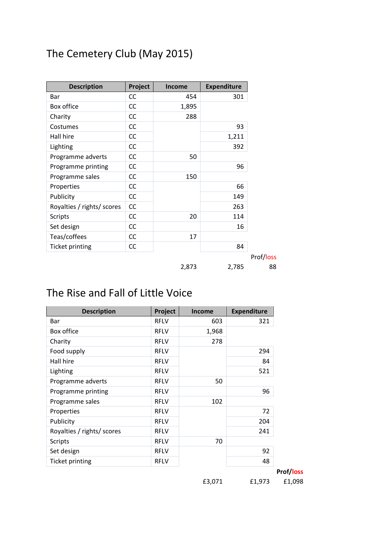# The Cemetery Club (May 2015)

| <b>Description</b>         | Project   | <b>Income</b> | <b>Expenditure</b> |
|----------------------------|-----------|---------------|--------------------|
| Bar                        | CC        | 454           | 301                |
| Box office                 | CC        | 1,895         |                    |
| Charity                    | <b>CC</b> | 288           |                    |
| Costumes                   | CC        |               | 93                 |
| Hall hire                  | <b>CC</b> |               | 1,211              |
| Lighting                   | <b>CC</b> |               | 392                |
| Programme adverts          | <b>CC</b> | 50            |                    |
| Programme printing         | CC        |               | 96                 |
| Programme sales            | <b>CC</b> | 150           |                    |
| Properties                 | <b>CC</b> |               | 66                 |
| Publicity                  | <b>CC</b> |               | 149                |
| Royalties / rights/ scores | <b>CC</b> |               | 263                |
| <b>Scripts</b>             | <b>CC</b> | 20            | 114                |
| Set design                 | <b>CC</b> |               | 16                 |
| Teas/coffees               | <b>CC</b> | 17            |                    |
| <b>Ticket printing</b>     | CC        |               | 84                 |
|                            |           |               |                    |
|                            |           | 2,873         | 2,785              |

## The Rise and Fall of Little Voice

| <b>Description</b>         | Project     | <b>Income</b> | <b>Expenditure</b> |
|----------------------------|-------------|---------------|--------------------|
| <b>Bar</b>                 | <b>RFLV</b> | 603           | 321                |
| Box office                 | <b>RFLV</b> | 1,968         |                    |
| Charity                    | <b>RFLV</b> | 278           |                    |
| Food supply                | <b>RFLV</b> |               | 294                |
| Hall hire                  | <b>RFLV</b> |               | 84                 |
| Lighting                   | <b>RFLV</b> |               | 521                |
| Programme adverts          | <b>RFLV</b> | 50            |                    |
| Programme printing         | <b>RFLV</b> |               | 96                 |
| Programme sales            | <b>RFLV</b> | 102           |                    |
| Properties                 | <b>RFLV</b> |               | 72                 |
| Publicity                  | <b>RFLV</b> |               | 204                |
| Royalties / rights/ scores | <b>RFLV</b> |               | 241                |
| <b>Scripts</b>             | <b>RFLV</b> | 70            |                    |
| Set design                 | <b>RFLV</b> |               | 92                 |
| <b>Ticket printing</b>     | <b>RFLV</b> |               | 48                 |

**Prof/loss**

£3,071 £1,973 £1,098